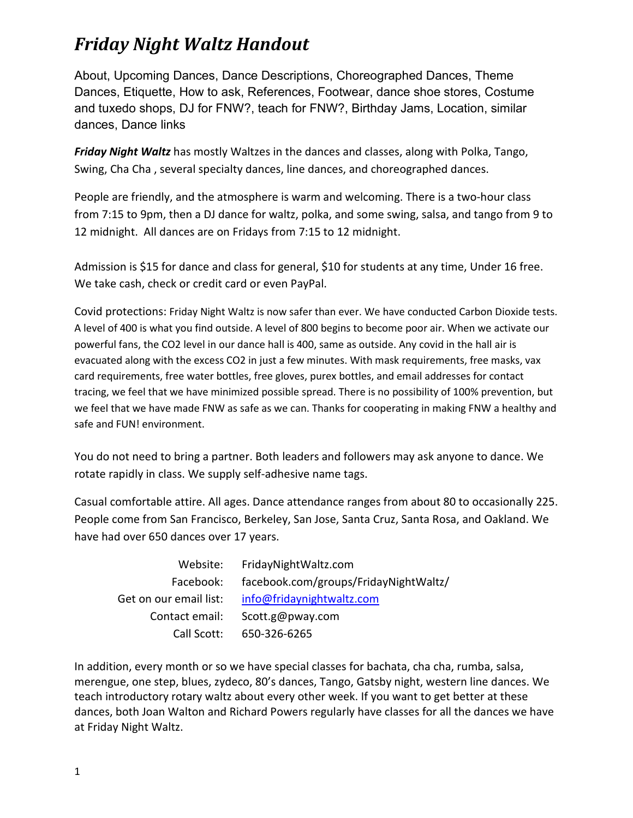### *Friday Night Waltz Handout*

About, Upcoming Dances, Dance Descriptions, Choreographed Dances, Theme Dances, Etiquette, How to ask, References, Footwear, dance shoe stores, Costume and tuxedo shops, DJ for FNW?, teach for FNW?, Birthday Jams, Location, similar dances, Dance links

*Friday Night Waltz* has mostly Waltzes in the dances and classes, along with Polka, Tango, Swing, Cha Cha , several specialty dances, line dances, and choreographed dances.

People are friendly, and the atmosphere is warm and welcoming. There is a two-hour class from 7:15 to 9pm, then a DJ dance for waltz, polka, and some swing, salsa, and tango from 9 to 12 midnight. All dances are on Fridays from 7:15 to 12 midnight.

Admission is \$15 for dance and class for general, \$10 for students at any time, Under 16 free. We take cash, check or credit card or even PayPal.

Covid protections: Friday Night Waltz is now safer than ever. We have conducted Carbon Dioxide tests. A level of 400 is what you find outside. A level of 800 begins to become poor air. When we activate our powerful fans, the CO2 level in our dance hall is 400, same as outside. Any covid in the hall air is evacuated along with the excess CO2 in just a few minutes. With mask requirements, free masks, vax card requirements, free water bottles, free gloves, purex bottles, and email addresses for contact tracing, we feel that we have minimized possible spread. There is no possibility of 100% prevention, but we feel that we have made FNW as safe as we can. Thanks for cooperating in making FNW a healthy and safe and FUN! environment.

You do not need to bring a partner. Both leaders and followers may ask anyone to dance. We rotate rapidly in class. We supply self-adhesive name tags.

Casual comfortable attire. All ages. Dance attendance ranges from about 80 to occasionally 225. People come from San Francisco, Berkeley, San Jose, Santa Cruz, Santa Rosa, and Oakland. We have had over 650 dances over 17 years.

| Website:               | FridayNightWaltz.com                  |
|------------------------|---------------------------------------|
| Facebook:              | facebook.com/groups/FridayNightWaltz/ |
| Get on our email list: | info@fridaynightwaltz.com             |
| Contact email:         | Scott.g@pway.com                      |
| Call Scott:            | 650-326-6265                          |

In addition, every month or so we have special classes for bachata, cha cha, rumba, salsa, merengue, one step, blues, zydeco, 80's dances, Tango, Gatsby night, western line dances. We teach introductory rotary waltz about every other week. If you want to get better at these dances, both Joan Walton and Richard Powers regularly have classes for all the dances we have at Friday Night Waltz.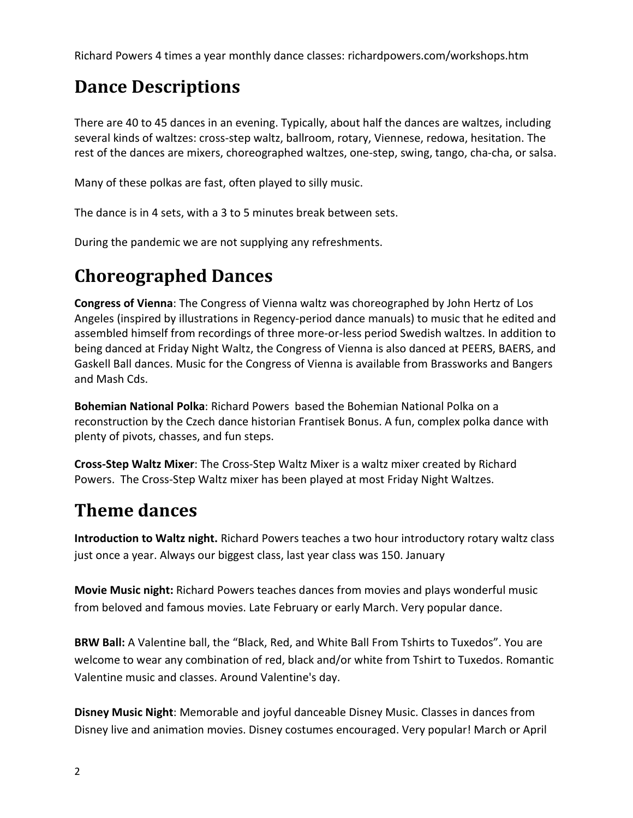Richard Powers 4 times a year monthly dance classes: richardpowers.com/workshops.htm

## **Dance Descriptions**

There are 40 to 45 dances in an evening. Typically, about half the dances are waltzes, including several kinds of waltzes: cross-step waltz, ballroom, rotary, [Viennese,](http://www.streetswing.com/histmain/z3vwaltz.htm) [redowa,](http://www.streetswing.com/histmain/z3redow.htm) hesitation. The rest of the dances are mixers, choreographed waltzes, one-step, [swing,](http://www.streetswing.com/histmain/z3lindy.htm) [tango,](http://www.centralhome.com/ballroomcountry/tango.htm) cha-cha, o[r salsa.](http://www.centralhome.com/ballroomcountry/salsa.htm)

Many of these polkas are fast, often played to silly music.

The dance is in 4 sets, with a 3 to 5 minutes break between sets.

During the pandemic we are not supplying any refreshments.

## **Choreographed Dances**

**Congress of Vienna**: The Congress of Vienna waltz was choreographed by John Hertz of Los Angeles (inspired by illustrations in Regency-period dance manuals) to music that he edited and assembled himself from recordings of three more-or-less period Swedish waltzes. In addition to being danced at Friday Night Waltz, the Congress of Vienna is also danced at PEERS, BAERS, and Gaskell Ball dances. Music for the Congress of Vienna is available from [Brassworks](http://www.brassworksband.com/) and [Bangers](http://www.well.com/user/cwj/bangersandmash/)  [and Mash](http://www.well.com/user/cwj/bangersandmash/) Cds.

**[Bohemian National Polka](http://socialdance.stanford.edu/syllabi/BNP.htm)**: [Richard Powers](http://www.richardpowers.com/) based the Bohemian National Polka on a reconstruction by the Czech dance historian Frantisek Bonus. A fun, complex polka dance with plenty of pivots, chasses, and fun steps.

**[Cross-Step Waltz Mixer](http://socialdance.stanford.edu/syllabi/crosstep.htm)**: The Cross-Step Waltz Mixer is a waltz mixer created by Richard Power[s.](http://www.richardpowers.com/) The Cross-Step Waltz mixer has been played at most Friday Night Waltzes.

## **Theme dances**

**Introduction to Waltz night.** Richard Powers teaches a two hour introductory rotary waltz class just once a year. Always our biggest class, last year class was 150. January

**Movie Music night:** Richard Powers teaches dances from movies and plays wonderful music from beloved and famous movies. Late February or early March. Very popular dance.

**BRW Ball:** A Valentine ball, the "Black, Red, and White Ball From Tshirts to Tuxedos". You are welcome to wear any combination of red, black and/or white from Tshirt to Tuxedos. Romantic Valentine music and classes. Around Valentine's day.

**Disney Music Night**: Memorable and joyful danceable Disney Music. Classes in dances from Disney live and animation movies. Disney costumes encouraged. Very popular! March or April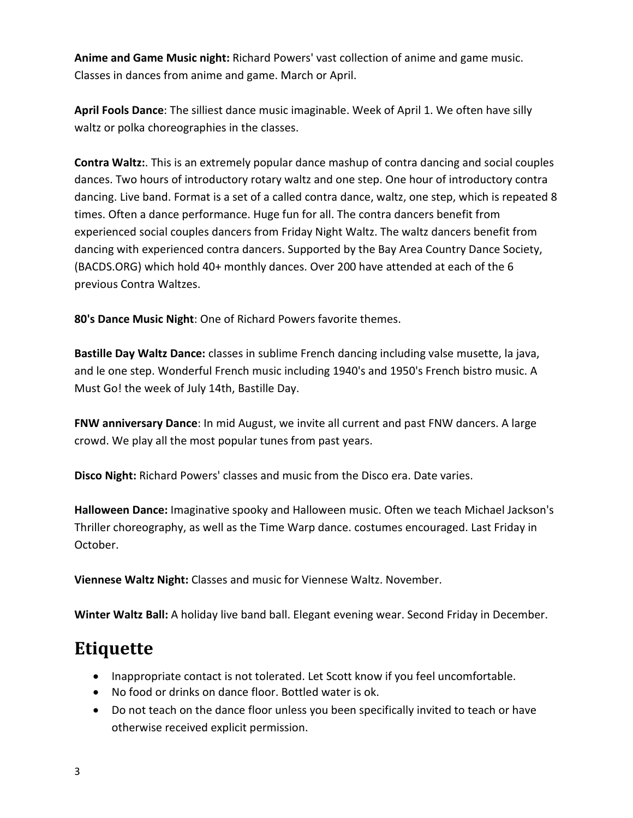**Anime and Game Music night:** Richard Powers' vast collection of anime and game music. Classes in dances from anime and game. March or April.

**April Fools Dance**: The silliest dance music imaginable. Week of April 1. We often have silly waltz or polka choreographies in the classes.

**Contra Waltz:**. This is an extremely popular dance mashup of contra dancing and social couples dances. Two hours of introductory rotary waltz and one step. One hour of introductory contra dancing. Live band. Format is a set of a called contra dance, waltz, one step, which is repeated 8 times. Often a dance performance. Huge fun for all. The contra dancers benefit from experienced social couples dancers from Friday Night Waltz. The waltz dancers benefit from dancing with experienced contra dancers. Supported by the Bay Area Country Dance Society, (BACDS.ORG) which hold 40+ monthly dances. Over 200 have attended at each of the 6 previous Contra Waltzes.

**80's Dance Music Night**: One of Richard Powers favorite themes.

**Bastille Day Waltz Dance:** classes in sublime French dancing including valse musette, la java, and le one step. Wonderful French music including 1940's and 1950's French bistro music. A Must Go! the week of July 14th, Bastille Day.

**FNW anniversary Dance**: In mid August, we invite all current and past FNW dancers. A large crowd. We play all the most popular tunes from past years.

**Disco Night:** Richard Powers' classes and music from the Disco era. Date varies.

**Halloween Dance:** Imaginative spooky and Halloween music. Often we teach Michael Jackson's Thriller choreography, as well as the Time Warp dance. costumes encouraged. Last Friday in October.

**Viennese Waltz Night:** Classes and music for Viennese Waltz. November.

**Winter Waltz Ball:** A holiday live band ball. Elegant evening wear. Second Friday in December.

## **Etiquette**

- Inappropriate contact is not tolerated. Let Scott know if you feel uncomfortable.
- No food or drinks on dance floor. Bottled water is ok.
- Do not teach on the dance floor unless you been specifically invited to teach or have otherwise received explicit permission.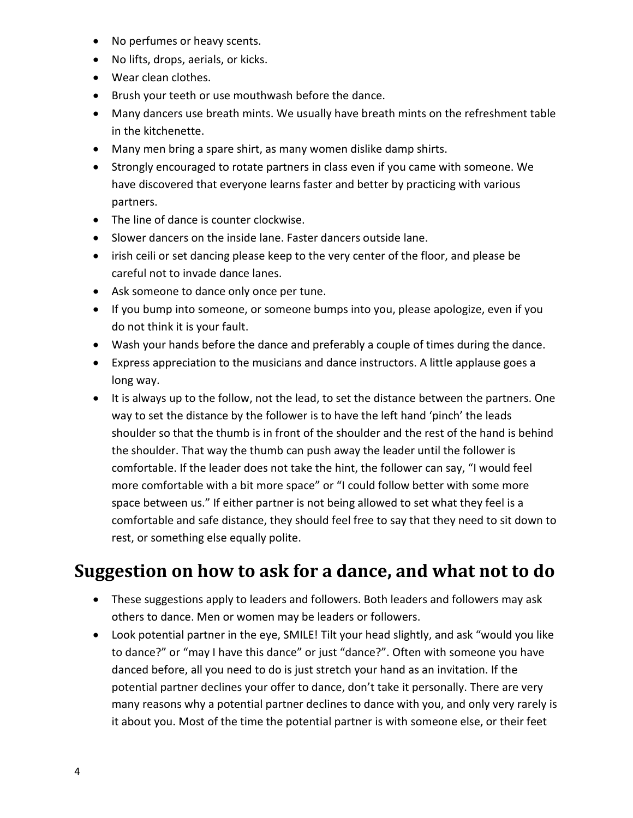- No perfumes or heavy scents.
- No lifts, drops, aerials, or kicks.
- Wear clean clothes.
- Brush your teeth or use mouthwash before the dance.
- Many dancers use breath mints. We usually have breath mints on the refreshment table in the kitchenette.
- Many men bring a spare shirt, as many women dislike damp shirts.
- Strongly encouraged to rotate partners in class even if you came with someone. We have discovered that everyone learns faster and better by practicing with various partners.
- The line of dance is counter clockwise.
- Slower dancers on the inside lane. Faster dancers outside lane.
- irish ceili or set dancing please keep to the very center of the floor, and please be careful not to invade dance lanes.
- Ask someone to dance only once per tune.
- If you bump into someone, or someone bumps into you, please apologize, even if you do not think it is your fault.
- Wash your hands before the dance and preferably a couple of times during the dance.
- Express appreciation to the musicians and dance instructors. A little applause goes a long way.
- It is always up to the follow, not the lead, to set the distance between the partners. One way to set the distance by the follower is to have the left hand 'pinch' the leads shoulder so that the thumb is in front of the shoulder and the rest of the hand is behind the shoulder. That way the thumb can push away the leader until the follower is comfortable. If the leader does not take the hint, the follower can say, "I would feel more comfortable with a bit more space" or "I could follow better with some more space between us." If either partner is not being allowed to set what they feel is a comfortable and safe distance, they should feel free to say that they need to sit down to rest, or something else equally polite.

### **Suggestion on how to ask for a dance, and what not to do**

- These suggestions apply to leaders and followers. Both leaders and followers may ask others to dance. Men or women may be leaders or followers.
- Look potential partner in the eye, SMILE! Tilt your head slightly, and ask "would you like to dance?" or "may I have this dance" or just "dance?". Often with someone you have danced before, all you need to do is just stretch your hand as an invitation. If the potential partner declines your offer to dance, don't take it personally. There are very many reasons why a potential partner declines to dance with you, and only very rarely is it about you. Most of the time the potential partner is with someone else, or their feet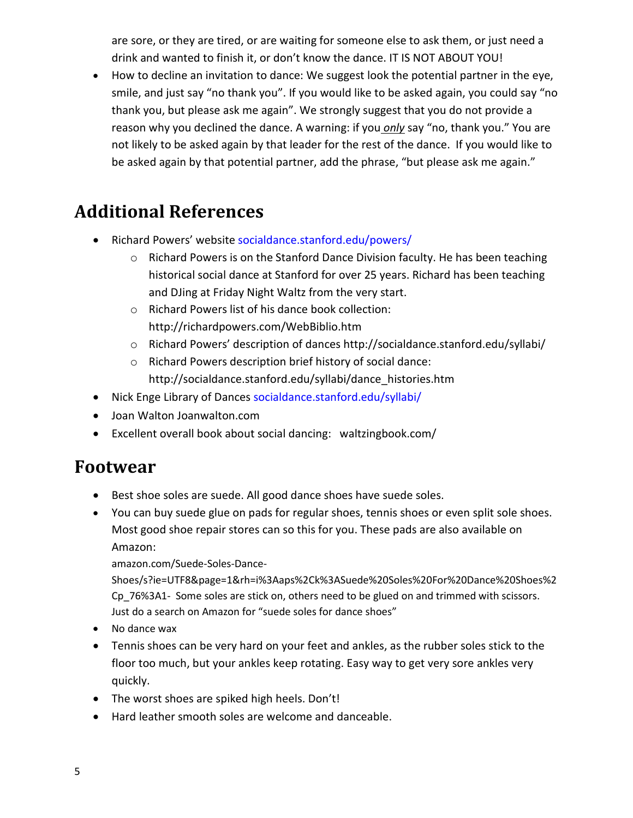are sore, or they are tired, or are waiting for someone else to ask them, or just need a drink and wanted to finish it, or don't know the dance. IT IS NOT ABOUT YOU!

• How to decline an invitation to dance: We suggest look the potential partner in the eye, smile, and just say "no thank you". If you would like to be asked again, you could say "no thank you, but please ask me again". We strongly suggest that you do not provide a reason why you declined the dance. A warning: if you *only* say "no, thank you." You are not likely to be asked again by that leader for the rest of the dance. If you would like to be asked again by that potential partner, add the phrase, "but please ask me again."

## **Additional References**

- Richard Powers' website [socialdance.stanford.edu/powers/](http://socialdance.stanford.edu/powers/)
	- $\circ$  Richard Powers is on the Stanford Dance Division faculty. He has been teaching historical social dance at Stanford for over 25 years. Richard has been teaching and DJing at Friday Night Waltz from the very start.
	- o Richard Powers list of his dance book collection: http://richardpowers.com/WebBiblio.htm
	- o Richard Powers' description of dances<http://socialdance.stanford.edu/syllabi/>
	- o Richard Powers description brief history of social dance: http://socialdance.stanford.edu/syllabi/dance\_histories.htm
- Nick Enge Library of Dances [socialdance.stanford.edu/syllabi/](http://socialdance.stanford.edu/syllabi/)
- Joan Walton Joanwalton.com
- Excellent overall book about social dancing: waltzingbook.com/

#### **Footwear**

- Best shoe soles are suede. All good dance shoes have suede soles.
- You can buy suede glue on pads for regular shoes, tennis shoes or even split sole shoes. Most good shoe repair stores can so this for you. These pads are also available on Amazon:

amazon.com/Suede-Soles-Dance-

Shoes/s?ie=UTF8&page=1&rh=i%3Aaps%2Ck%3ASuede%20Soles%20For%20Dance%20Shoes%2 Cp\_76%3A1- Some soles are stick on, others need to be glued on and trimmed with scissors. Just do a search on Amazon for "suede soles for dance shoes"

- No dance wax
- Tennis shoes can be very hard on your feet and ankles, as the rubber soles stick to the floor too much, but your ankles keep rotating. Easy way to get very sore ankles very quickly.
- The worst shoes are spiked high heels. Don't!
- Hard leather smooth soles are welcome and danceable.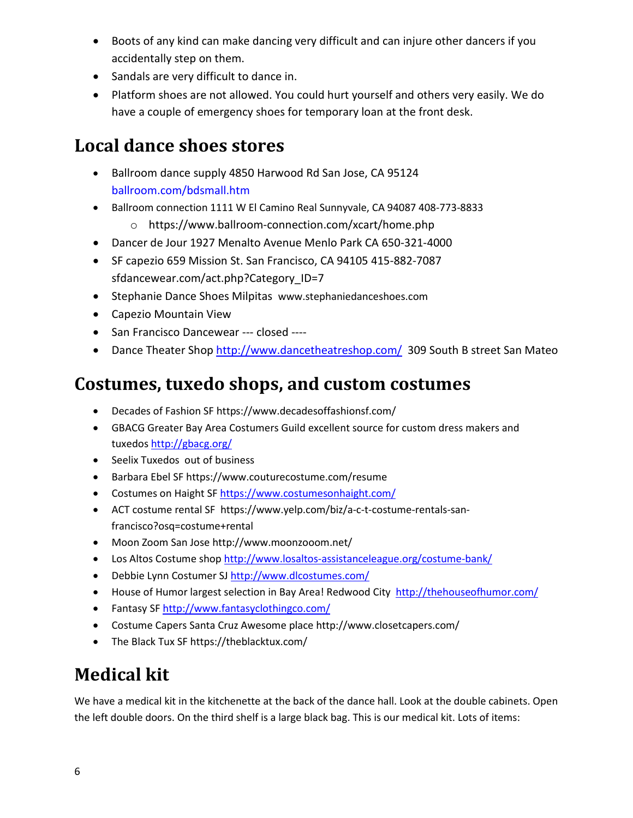- Boots of any kind can make dancing very difficult and can injure other dancers if you accidentally step on them.
- Sandals are very difficult to dance in.
- Platform shoes are not allowed. You could hurt yourself and others very easily. We do have a couple of emergency shoes for temporary loan at the front desk.

### **Local dance shoes stores**

- Ballroom dance supply 4850 Harwood Rd San Jose, CA 95124 [ballroom.com/bdsmall.htm](http://ballroom.com/bdsmall.htm)
- Ballroom connection 1111 W El Camino Real Sunnyvale, CA 94087 408-773-8833
	- o https://www.ballroom-connection.com/xcart/home.php
- Dancer de Jour 1927 Menalto Avenue Menlo Park CA 650-321-4000
- SF capezio 659 Mission St. San Francisco, CA 94105 415-882-7087 sfdancewear.com/act.php?Category ID=7
- Stephanie Dance Shoes Milpitas www.stephaniedanceshoes.com
- Capezio Mountain View
- San Francisco Dancewear --- closed ----
- Dance Theater Shop<http://www.dancetheatreshop.com/>309 South B street San Mateo

### **Costumes, tuxedo shops, and custom costumes**

- Decades of Fashion SF https://www.decadesoffashionsf.com/
- GBACG Greater Bay Area Costumers Guild excellent source for custom dress makers and tuxedos <http://gbacg.org/>
- Seelix Tuxedos out of business
- Barbara Ebel SF https://www.couturecostume.com/resume
- Costumes on Haight SF <https://www.costumesonhaight.com/>
- ACT costume rental SF https://www.yelp.com/biz/a-c-t-costume-rentals-sanfrancisco?osq=costume+rental
- Moon Zoom San Jose http://www.moonzooom.net/
- Los Altos Costume sho[p http://www.losaltos-assistanceleague.org/costume-bank/](http://www.losaltos-assistanceleague.org/costume-bank/)
- Debbie Lynn Costumer SJ <http://www.dlcostumes.com/>
- House of Humor largest selection in Bay Area! Redwood City <http://thehouseofhumor.com/>
- Fantasy S[F http://www.fantasyclothingco.com/](http://www.fantasyclothingco.com/)
- Costume Capers Santa Cruz Awesome place http://www.closetcapers.com/
- The Black Tux SF https://theblacktux.com/

## **Medical kit**

We have a medical kit in the kitchenette at the back of the dance hall. Look at the double cabinets. Open the left double doors. On the third shelf is a large black bag. This is our medical kit. Lots of items: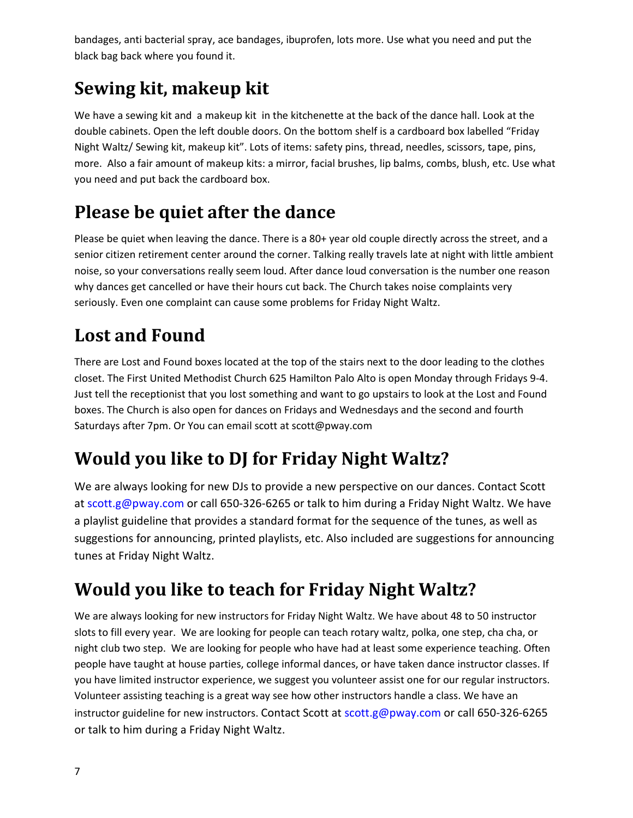bandages, anti bacterial spray, ace bandages, ibuprofen, lots more. Use what you need and put the black bag back where you found it.

# **Sewing kit, makeup kit**

We have a sewing kit and a makeup kit in the kitchenette at the back of the dance hall. Look at the double cabinets. Open the left double doors. On the bottom shelf is a cardboard box labelled "Friday Night Waltz/ Sewing kit, makeup kit". Lots of items: safety pins, thread, needles, scissors, tape, pins, more. Also a fair amount of makeup kits: a mirror, facial brushes, lip balms, combs, blush, etc. Use what you need and put back the cardboard box.

## **Please be quiet after the dance**

Please be quiet when leaving the dance. There is a 80+ year old couple directly across the street, and a senior citizen retirement center around the corner. Talking really travels late at night with little ambient noise, so your conversations really seem loud. After dance loud conversation is the number one reason why dances get cancelled or have their hours cut back. The Church takes noise complaints very seriously. Even one complaint can cause some problems for Friday Night Waltz.

## **Lost and Found**

There are Lost and Found boxes located at the top of the stairs next to the door leading to the clothes closet. The First United Methodist Church 625 Hamilton Palo Alto is open Monday through Fridays 9-4. Just tell the receptionist that you lost something and want to go upstairs to look at the Lost and Found boxes. The Church is also open for dances on Fridays and Wednesdays and the second and fourth Saturdays after 7pm. Or You can email scott at scott@pway.com

## **Would you like to DJ for Friday Night Waltz?**

We are always looking for new DJs to provide a new perspective on our dances. Contact Scott at [scott.g@pway.com](mailto:scott.g@pway.com) or call 650-326-6265 or talk to him during a Friday Night Waltz. We have a playlist guideline that provides a standard format for the sequence of the tunes, as well as suggestions for announcing, printed playlists, etc. Also included are suggestions for announcing tunes at Friday Night Waltz.

## **Would you like to teach for Friday Night Waltz?**

We are always looking for new instructors for Friday Night Waltz. We have about 48 to 50 instructor slots to fill every year. We are looking for people can teach rotary waltz, polka, one step, cha cha, or night club two step. We are looking for people who have had at least some experience teaching. Often people have taught at house parties, college informal dances, or have taken dance instructor classes. If you have limited instructor experience, we suggest you volunteer assist one for our regular instructors. Volunteer assisting teaching is a great way see how other instructors handle a class. We have an instructor guideline for new instructors. Contact Scott at [scott.g@pway.com](mailto:scott.g@pway.com) or call 650-326-6265 or talk to him during a Friday Night Waltz.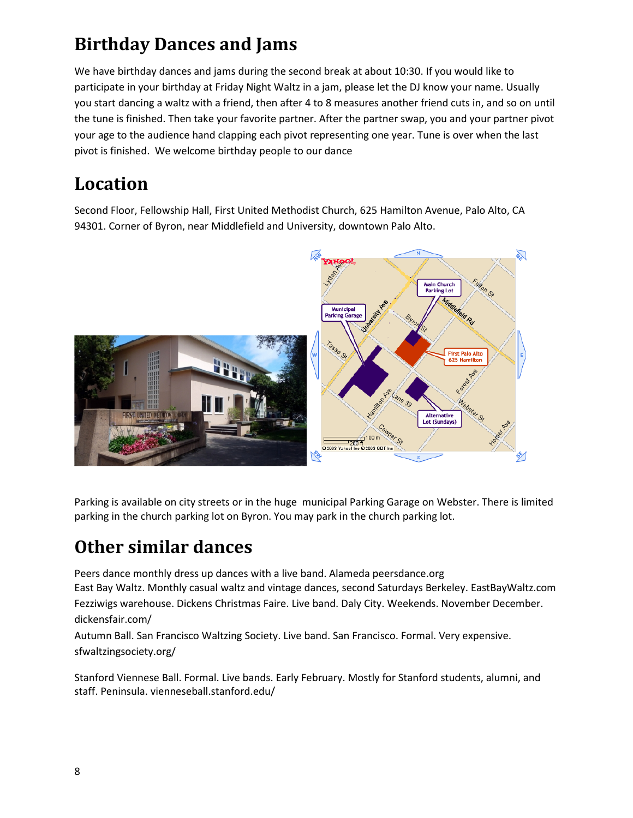## **Birthday Dances and Jams**

We have birthday dances and jams during the second break at about 10:30. If you would like to participate in your birthday at Friday Night Waltz in a jam, please let the DJ know your name. Usually you start dancing a waltz with a friend, then after 4 to 8 measures another friend cuts in, and so on until the tune is finished. Then take your favorite partner. After the partner swap, you and your partner pivot your age to the audience hand clapping each pivot representing one year. Tune is over when the last pivot is finished. We welcome birthday people to our dance

## **Location**

Second Floor, Fellowship Hall, First United Methodist Church, 625 Hamilton Avenue, Palo Alto, CA 94301. Corner of Byron, near Middlefield and University, downtown Palo Alto.



Parking is available on city streets or in the huge municipal Parking Garage on Webster. There is limited parking in the church parking lot on Byron. You may park in the church parking lot.

### **Other similar dances**

Peers dance monthly dress up dances with a live band. Alameda peersdance.org East Bay Waltz. Monthly casual waltz and vintage dances, second Saturdays Berkeley. EastBayWaltz.com Fezziwigs warehouse. Dickens Christmas Faire. Live band. Daly City. Weekends. November December. dickensfair.com/

Autumn Ball. San Francisco Waltzing Society. Live band. San Francisco. Formal. Very expensive. sfwaltzingsociety.org/

Stanford Viennese Ball. Formal. Live bands. Early February. Mostly for Stanford students, alumni, and staff. Peninsula. vienneseball.stanford.edu/